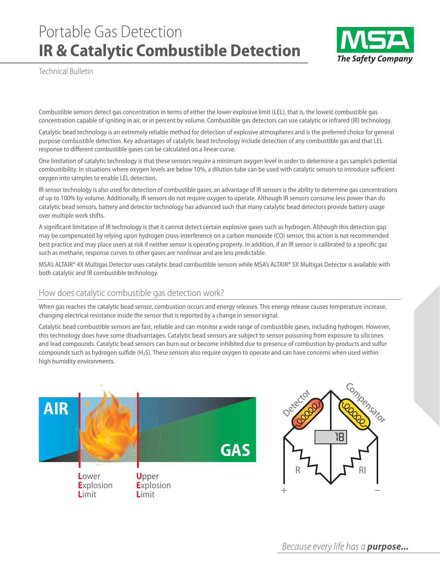# Portable Gas Detection **IR & Catalytic Combustible Detection**



Technical Bulletin

Combustible sensors detect gas concentration in terms of either the lower explosive limit (LEL), that is, the lowest combustible gas concentration capable of igniting in air, or in percent by volume. Combustible gas detectors can use catalytic or infrared (IR) technology.

Catalytic bead technology is an extremely reliable method for detection of explosive atmospheres and is the preferred choice for general purpose combustible detection. Key advantages of catalytic bead technology include detection of any combustible gas and that LEL response to different combustible gases can be calculated on a linear curve.

One limitation of catalytic technology is that these sensors require a minimum oxygen level in order to determine a gas sample's potential combustibility. In situations where oxygen levels are below 10%, a dilution tube can be used with catalytic sensors to introduce sufficient oxygen into samples to enable LEL detection.

IR sensor technology is also used for detection of combustible gases; an advantage of IR sensors is the ability to determine gas concentrations of up to 100% by volume. Additionally, IR sensors do not require oxygen to operate. Although IR sensors consume less power than do catalytic bead sensors, battery and detector technology has advanced such that many catalytic bead detectors provide battery usage over multiple work shifts.

A significant limitation of IR technology is that it cannot detect certain explosive gases such as hydrogen. Although this detection gap may be compensated by relying upon hydrogen cross-interference on a carbon monoxide (CO) sensor, this action is not recommended best practice and may place users at risk if neither sensor is operating properly. In addition, if an IR sensor is calibrated to a specific gas such as methane, response curves to other gases are nonlinear and are less predictable.

MSA's ALTAIR® 4X Multigas Detector uses catalytic bead combustible sensors while MSA's ALTAIR® 5X Multigas Detector is available with both catalytic and IR combustible technology.

#### How does catalytic combustible gas detection work?

When gas reaches the catalytic bead sensor, combustion occurs and energy releases. This energy release causes temperature increase, changing electrical resistance inside the sensor that is reported by a change in sensor signal.

Catalytic bead combustible sensors are fast, reliable and can monitor a wide range of combustible gases, including hydrogen. However, this technology does have some disadvantages. Catalytic bead sensors are subject to sensor poisoning from exposure to silicones and lead compounds. Catalytic bead sensors can burn out or become inhibited due to presence of combustion by-products and sulfur compounds such as hydrogen sulfide (H<sub>2</sub>S). These sensors also require oxygen to operate and can have concerns when used within high humidity environments.

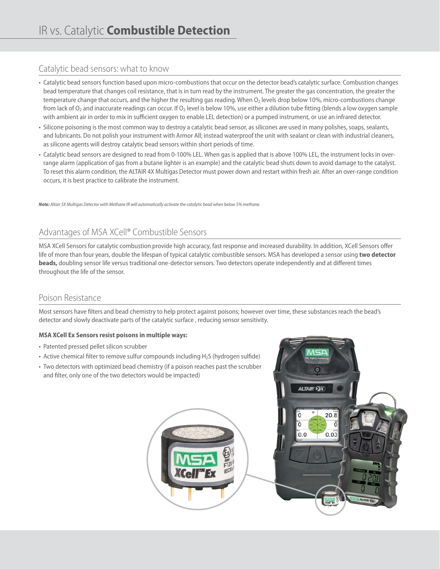#### Catalytic bead sensors: what to know

- Catalytic bead sensors function based upon micro-combustions that occur on the detector bead's catalytic surface. Combustion changes bead temperature that changes coil resistance, that is in turn read by the instrument. The greater the gas concentration, the greater the temperature change that occurs, and the higher the resulting gas reading. When  $O_2$  levels drop below 10%, micro-combustions change from lack of O<sub>2</sub> and inaccurate readings can occur. If O<sub>2</sub> level is below 10%, use either a dilution tube fitting (blends a low oxygen sample with ambient air in order to mix in sufficient oxygen to enable LEL detection) or a pumped instrument, or use an infrared detector.
- Silicone poisoning is the most common way to destroy a catalytic bead sensor, as silicones are used in many polishes, soaps, sealants, and lubricants. Do not polish your instrument with Armor All; instead waterproof the unit with sealant or clean with industrial cleaners, as silicone agents will destroy catalytic bead sensors within short periods of time.
- Catalytic bead sensors are designed to read from 0-100% LEL. When gas is applied that is above 100% LEL, the instrument locks in overrange alarm (application of gas from a butane lighter is an example) and the catalytic bead shuts down to avoid damage to the catalyst. To reset this alarm condition, the ALTAIR 4X Multigas Detector must power down and restart within fresh air. After an over-range condition occurs, it is best practice to calibrate the instrument.

*Note: Altair 5X Multigas Detector with Methane IR will automatically activate the catalytic bead when below 5% methane.*

## Advantages of MSA XCell® Combustible Sensors

MSA XCell Sensors for catalytic combustion provide high accuracy, fast response and increased durability. In addition, XCell Sensors offer life of more than four years, double the lifespan of typical catalytic combustible sensors. MSA has developed a sensor using **two detector beads,** doubling sensor life versus traditional one-detector sensors. Two detectors operate independently and at different times throughout the life of the sensor.

#### Poison Resistance

Most sensors have filters and bead chemistry to help protect against poisons; however over time, these substances reach the bead's detector and slowly deactivate parts of the catalytic surface , reducing sensor sensitivity.

#### **MSA XCell Ex Sensors resist poisons in multiple ways:**

- Patented pressed pellet silicon scrubber
- Active chemical filter to remove sulfur compounds including  $H_2S$  (hydrogen sulfide)
- Two detectors with optimized bead chemistry (if a poison reaches past the scrubber and filter, only one of the two detectors would be impacted)



a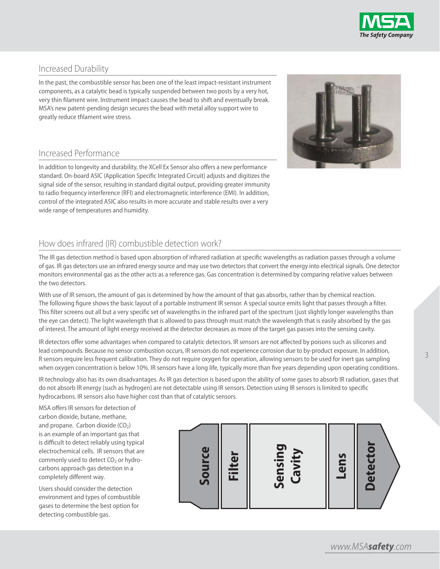

#### Increased Durability

In the past, the combustible sensor has been one of the least impact-resistant instrument components, as a catalytic bead is typically suspended between two posts by a very hot, very thin filament wire. Instrument impact causes the bead to shift and eventually break. MSA's new patent-pending design secures the bead with metal alloy support wire to greatly reduce tfilament wire stress.



#### Increased Performance

In addition to longevity and durability, the XCell Ex Sensor also offers a new performance standard. On-board ASIC (Application Specific Integrated Circuit) adjusts and digitizes the signal side of the sensor, resulting in standard digital output, providing greater immunity to radio frequency interference (RFI) and electromagnetic interference (EMI). In addition, control of the integrated ASIC also results in more accurate and stable results over a very wide range of temperatures and humidity.

### How does infrared (IR) combustible detection work?

The IR gas detection method is based upon absorption of infrared radiation at specific wavelengths as radiation passes through a volume of gas. IR gas detectors use an infrared energy source and may use two detectors that convert the energy into electrical signals. One detector monitors environmental gas as the other acts as a reference gas. Gas concentration is determined by comparing relative values between the two detectors.

With use of IR sensors, the amount of gas is determined by how the amount of that gas absorbs, rather than by chemical reaction. The following figure shows the basic layout of a portable instrument IR sensor. A special source emits light that passes through a filter. This filter screens out all but a very specific set of wavelengths in the infrared part of the spectrum (just slightly longer wavelengths than the eye can detect). The light wavelength that is allowed to pass through must match the wavelength that is easily absorbed by the gas of interest. The amount of light energy received at the detector decreases as more of the target gas passes into the sensing cavity.

IR detectors offer some advantages when compared to catalytic detectors. IR sensors are not affected by poisons such as silicones and lead compounds. Because no sensor combustion occurs, IR sensors do not experience corrosion due to by-product exposure. In addition, R sensors require less frequent calibration. They do not require oxygen for operation, allowing sensors to be used for inert gas sampling when oxygen concentration is below 10%. IR sensors have a long life, typically more than five years depending upon operating conditions.

IR technology also has its own disadvantages. As IR gas detection is based upon the ability of some gases to absorb IR radiation, gases that do not absorb IR energy (such as hydrogen) are not detectable using IR sensors. Detection using IR sensors is limited to specific hydrocarbons. IR sensors also have higher cost than that of catalytic sensors.

MSA offers IR sensors for detection of carbon dioxide, butane, methane, and propane. Carbon dioxide (CO<sub>2</sub>) is an example of an important gas that is difficult to detect reliably using typical electrochemical cells. IR sensors that are commonly used to detect  $CO<sub>2</sub>$  or hydrocarbons approach gas detection in a completely different way.

Users should consider the detection environment and types of combustible gases to determine the best option for detecting combustible gas.



3